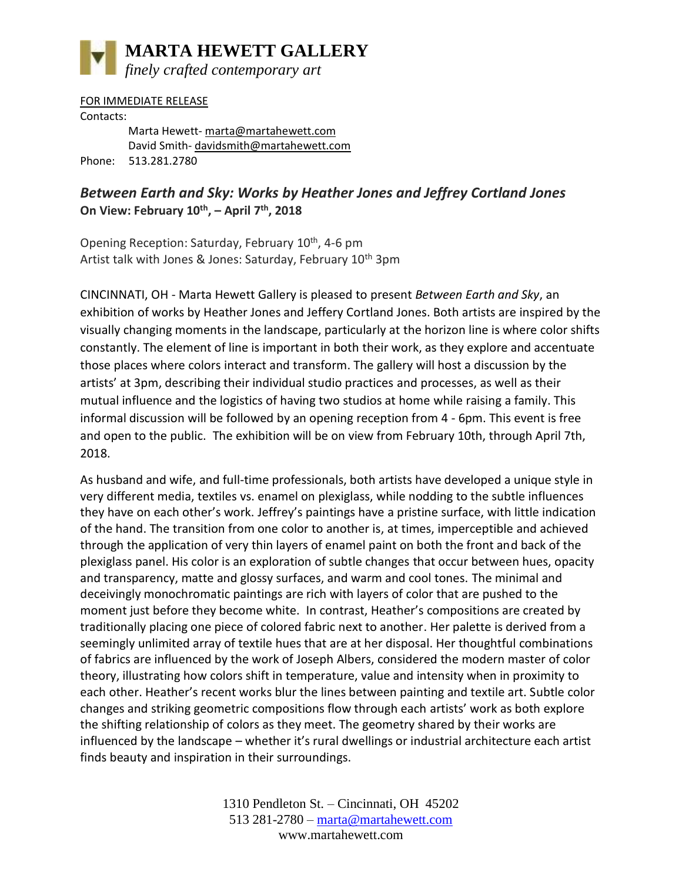

FOR IMMEDIATE RELEASE Contacts: Marta Hewett- [marta@martahewett.com](mailto:marta@martahewett.com)  David Smith- [davidsmith@martahewett.com](mailto:davidsmith@martahewett.com) Phone: 513.281.2780

## *Between Earth and Sky: Works by Heather Jones and Jeffrey Cortland Jones* **On View: February 10th , – April 7th, 2018**

Opening Reception: Saturday, February 10<sup>th</sup>, 4-6 pm Artist talk with Jones & Jones: Saturday, February  $10<sup>th</sup>$  3pm

CINCINNATI, OH - Marta Hewett Gallery is pleased to present *Between Earth and Sky*, an exhibition of works by Heather Jones and Jeffery Cortland Jones. Both artists are inspired by the visually changing moments in the landscape, particularly at the horizon line is where color shifts constantly. The element of line is important in both their work, as they explore and accentuate those places where colors interact and transform. The gallery will host a discussion by the artists' at 3pm, describing their individual studio practices and processes, as well as their mutual influence and the logistics of having two studios at home while raising a family. This informal discussion will be followed by an opening reception from 4 - 6pm. This event is free and open to the public. The exhibition will be on view from February 10th, through April 7th, 2018.

As husband and wife, and full-time professionals, both artists have developed a unique style in very different media, textiles vs. enamel on plexiglass, while nodding to the subtle influences they have on each other's work. Jeffrey's paintings have a pristine surface, with little indication of the hand. The transition from one color to another is, at times, imperceptible and achieved through the application of very thin layers of enamel paint on both the front and back of the plexiglass panel. His color is an exploration of subtle changes that occur between hues, opacity and transparency, matte and glossy surfaces, and warm and cool tones. The minimal and deceivingly monochromatic paintings are rich with layers of color that are pushed to the moment just before they become white. In contrast, Heather's compositions are created by traditionally placing one piece of colored fabric next to another. Her palette is derived from a seemingly unlimited array of textile hues that are at her disposal. Her thoughtful combinations of fabrics are influenced by the work of Joseph Albers, considered the modern master of color theory, illustrating how colors shift in temperature, value and intensity when in proximity to each other. Heather's recent works blur the lines between painting and textile art. Subtle color changes and striking geometric compositions flow through each artists' work as both explore the shifting relationship of colors as they meet. The geometry shared by their works are influenced by the landscape – whether it's rural dwellings or industrial architecture each artist finds beauty and inspiration in their surroundings.

> 1310 Pendleton St. – Cincinnati, OH 45202 513 281-2780 – [marta@martahewett.com](mailto:marta@martahewett.com) www.martahewett.com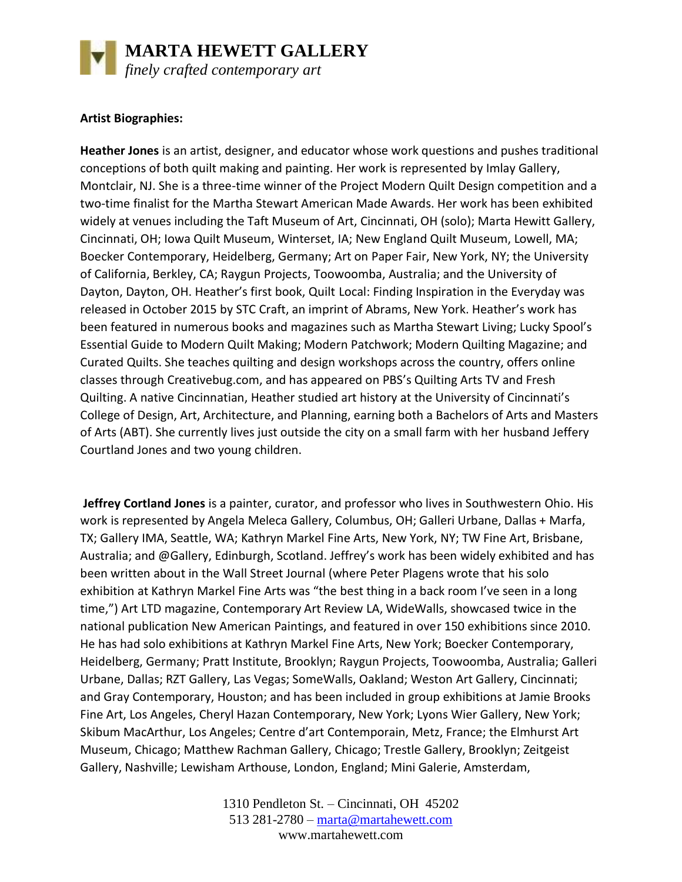

## **Artist Biographies:**

**Heather Jones** is an artist, designer, and educator whose work questions and pushes traditional conceptions of both quilt making and painting. Her work is represented by Imlay Gallery, Montclair, NJ. She is a three-time winner of the Project Modern Quilt Design competition and a two-time finalist for the Martha Stewart American Made Awards. Her work has been exhibited widely at venues including the Taft Museum of Art, Cincinnati, OH (solo); Marta Hewitt Gallery, Cincinnati, OH; Iowa Quilt Museum, Winterset, IA; New England Quilt Museum, Lowell, MA; Boecker Contemporary, Heidelberg, Germany; Art on Paper Fair, New York, NY; the University of California, Berkley, CA; Raygun Projects, Toowoomba, Australia; and the University of Dayton, Dayton, OH. Heather's first book, Quilt Local: Finding Inspiration in the Everyday was released in October 2015 by STC Craft, an imprint of Abrams, New York. Heather's work has been featured in numerous books and magazines such as Martha Stewart Living; Lucky Spool's Essential Guide to Modern Quilt Making; Modern Patchwork; Modern Quilting Magazine; and Curated Quilts. She teaches quilting and design workshops across the country, offers online classes through Creativebug.com, and has appeared on PBS's Quilting Arts TV and Fresh Quilting. A native Cincinnatian, Heather studied art history at the University of Cincinnati's College of Design, Art, Architecture, and Planning, earning both a Bachelors of Arts and Masters of Arts (ABT). She currently lives just outside the city on a small farm with her husband Jeffery Courtland Jones and two young children.

**Jeffrey Cortland Jones** is a painter, curator, and professor who lives in Southwestern Ohio. His work is represented by Angela Meleca Gallery, Columbus, OH; Galleri Urbane, Dallas + Marfa, TX; Gallery IMA, Seattle, WA; Kathryn Markel Fine Arts, New York, NY; TW Fine Art, Brisbane, Australia; and @Gallery, Edinburgh, Scotland. Jeffrey's work has been widely exhibited and has been written about in the Wall Street Journal (where Peter Plagens wrote that his solo exhibition at Kathryn Markel Fine Arts was "the best thing in a back room I've seen in a long time,") Art LTD magazine, Contemporary Art Review LA, WideWalls, showcased twice in the national publication New American Paintings, and featured in over 150 exhibitions since 2010. He has had solo exhibitions at Kathryn Markel Fine Arts, New York; Boecker Contemporary, Heidelberg, Germany; Pratt Institute, Brooklyn; Raygun Projects, Toowoomba, Australia; Galleri Urbane, Dallas; RZT Gallery, Las Vegas; SomeWalls, Oakland; Weston Art Gallery, Cincinnati; and Gray Contemporary, Houston; and has been included in group exhibitions at Jamie Brooks Fine Art, Los Angeles, Cheryl Hazan Contemporary, New York; Lyons Wier Gallery, New York; Skibum MacArthur, Los Angeles; Centre d'art Contemporain, Metz, France; the Elmhurst Art Museum, Chicago; Matthew Rachman Gallery, Chicago; Trestle Gallery, Brooklyn; Zeitgeist Gallery, Nashville; Lewisham Arthouse, London, England; Mini Galerie, Amsterdam,

> 1310 Pendleton St. – Cincinnati, OH 45202 513 281-2780 – [marta@martahewett.com](mailto:marta@martahewett.com) www.martahewett.com